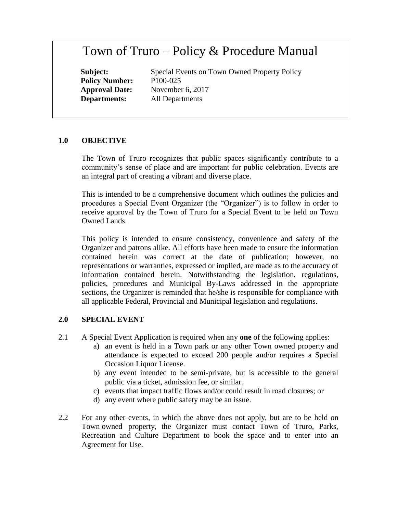# Town of Truro – Policy & Procedure Manual

**Policy Number:** P100-025

Subject: Special Events on Town Owned Property Policy **Approval Date:** November 6, 2017 **Departments:** All Departments

# **1.0 OBJECTIVE**

The Town of Truro recognizes that public spaces significantly contribute to a community's sense of place and are important for public celebration. Events are an integral part of creating a vibrant and diverse place.

This is intended to be a comprehensive document which outlines the policies and procedures a Special Event Organizer (the "Organizer") is to follow in order to receive approval by the Town of Truro for a Special Event to be held on Town Owned Lands.

This policy is intended to ensure consistency, convenience and safety of the Organizer and patrons alike. All efforts have been made to ensure the information contained herein was correct at the date of publication; however, no representations or warranties, expressed or implied, are made as to the accuracy of information contained herein. Notwithstanding the legislation, regulations, policies, procedures and Municipal By-Laws addressed in the appropriate sections, the Organizer is reminded that he/she is responsible for compliance with all applicable Federal, Provincial and Municipal legislation and regulations.

# **2.0 SPECIAL EVENT**

- 2.1 A Special Event Application is required when any **one** of the following applies:
	- a) an event is held in a Town park or any other Town owned property and attendance is expected to exceed 200 people and/or requires a Special Occasion Liquor License.
	- b) any event intended to be semi-private, but is accessible to the general public via a ticket, admission fee, or similar.
	- c) events that impact traffic flows and/or could result in road closures; or
	- d) any event where public safety may be an issue.
- 2.2 For any other events, in which the above does not apply, but are to be held on Town owned property, the Organizer must contact Town of Truro, Parks, Recreation and Culture Department to book the space and to enter into an Agreement for Use.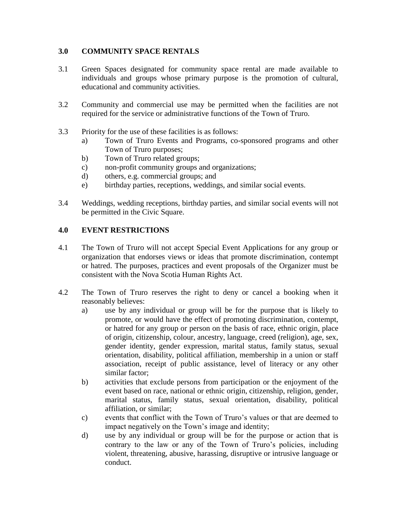# **3.0 COMMUNITY SPACE RENTALS**

- 3.1 Green Spaces designated for community space rental are made available to individuals and groups whose primary purpose is the promotion of cultural, educational and community activities.
- 3.2 Community and commercial use may be permitted when the facilities are not required for the service or administrative functions of the Town of Truro.
- 3.3 Priority for the use of these facilities is as follows:
	- a) Town of Truro Events and Programs, co-sponsored programs and other Town of Truro purposes;
	- b) Town of Truro related groups;
	- c) non-profit community groups and organizations;
	- d) others, e.g. commercial groups; and
	- e) birthday parties, receptions, weddings, and similar social events.
- 3.4 Weddings, wedding receptions, birthday parties, and similar social events will not be permitted in the Civic Square.

# **4.0 EVENT RESTRICTIONS**

- 4.1 The Town of Truro will not accept Special Event Applications for any group or organization that endorses views or ideas that promote discrimination, contempt or hatred. The purposes, practices and event proposals of the Organizer must be consistent with the Nova Scotia Human Rights Act.
- 4.2 The Town of Truro reserves the right to deny or cancel a booking when it reasonably believes:
	- a) use by any individual or group will be for the purpose that is likely to promote, or would have the effect of promoting discrimination, contempt, or hatred for any group or person on the basis of race, ethnic origin, place of origin, citizenship, colour, ancestry, language, creed (religion), age, sex, gender identity, gender expression, marital status, family status, sexual orientation, disability, political affiliation, membership in a union or staff association, receipt of public assistance, level of literacy or any other similar factor;
	- b) activities that exclude persons from participation or the enjoyment of the event based on race, national or ethnic origin, citizenship, religion, gender, marital status, family status, sexual orientation, disability, political affiliation, or similar;
	- c) events that conflict with the Town of Truro's values or that are deemed to impact negatively on the Town's image and identity;
	- d) use by any individual or group will be for the purpose or action that is contrary to the law or any of the Town of Truro's policies, including violent, threatening, abusive, harassing, disruptive or intrusive language or conduct.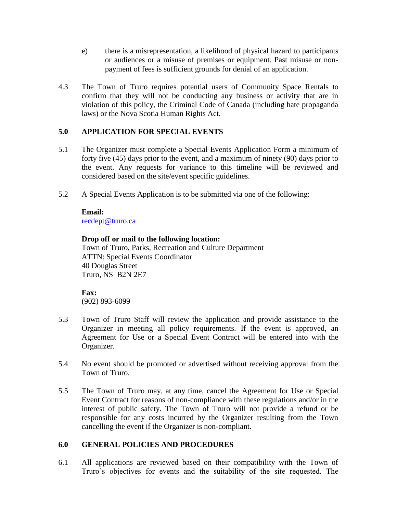- e) there is a misrepresentation, a likelihood of physical hazard to participants or audiences or a misuse of premises or equipment. Past misuse or nonpayment of fees is sufficient grounds for denial of an application.
- 4.3 The Town of Truro requires potential users of Community Space Rentals to confirm that they will not be conducting any business or activity that are in violation of this policy, the Criminal Code of Canada (including hate propaganda laws) or the Nova Scotia Human Rights Act.

# **5.0 APPLICATION FOR SPECIAL EVENTS**

- 5.1 The Organizer must complete a Special Events Application Form a minimum of forty five (45) days prior to the event, and a maximum of ninety (90) days prior to the event. Any requests for variance to this timeline will be reviewed and considered based on the site/event specific guidelines.
- 5.2 A Special Events Application is to be submitted via one of the following:

#### **Email:**  recdept@truro.ca

## **Drop off or mail to the following location:**

Town of Truro, Parks, Recreation and Culture Department ATTN: Special Events Coordinator 40 Douglas Street Truro, NS B2N 2E7

## **Fax:**

(902) 893-6099

- 5.3 Town of Truro Staff will review the application and provide assistance to the Organizer in meeting all policy requirements. If the event is approved, an Agreement for Use or a Special Event Contract will be entered into with the Organizer.
- 5.4 No event should be promoted or advertised without receiving approval from the Town of Truro.
- 5.5 The Town of Truro may, at any time, cancel the Agreement for Use or Special Event Contract for reasons of non-compliance with these regulations and/or in the interest of public safety. The Town of Truro will not provide a refund or be responsible for any costs incurred by the Organizer resulting from the Town cancelling the event if the Organizer is non-compliant.

## **6.0 GENERAL POLICIES AND PROCEDURES**

6.1 All applications are reviewed based on their compatibility with the Town of Truro's objectives for events and the suitability of the site requested. The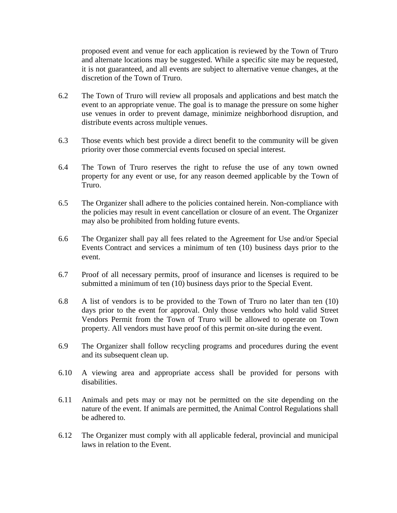proposed event and venue for each application is reviewed by the Town of Truro and alternate locations may be suggested. While a specific site may be requested, it is not guaranteed, and all events are subject to alternative venue changes, at the discretion of the Town of Truro.

- 6.2 The Town of Truro will review all proposals and applications and best match the event to an appropriate venue. The goal is to manage the pressure on some higher use venues in order to prevent damage, minimize neighborhood disruption, and distribute events across multiple venues.
- 6.3 Those events which best provide a direct benefit to the community will be given priority over those commercial events focused on special interest.
- 6.4 The Town of Truro reserves the right to refuse the use of any town owned property for any event or use, for any reason deemed applicable by the Town of Truro.
- 6.5 The Organizer shall adhere to the policies contained herein. Non-compliance with the policies may result in event cancellation or closure of an event. The Organizer may also be prohibited from holding future events.
- 6.6 The Organizer shall pay all fees related to the Agreement for Use and/or Special Events Contract and services a minimum of ten (10) business days prior to the event.
- 6.7 Proof of all necessary permits, proof of insurance and licenses is required to be submitted a minimum of ten (10) business days prior to the Special Event.
- 6.8 A list of vendors is to be provided to the Town of Truro no later than ten (10) days prior to the event for approval. Only those vendors who hold valid Street Vendors Permit from the Town of Truro will be allowed to operate on Town property. All vendors must have proof of this permit on-site during the event.
- 6.9 The Organizer shall follow recycling programs and procedures during the event and its subsequent clean up.
- 6.10 A viewing area and appropriate access shall be provided for persons with disabilities.
- 6.11 Animals and pets may or may not be permitted on the site depending on the nature of the event. If animals are permitted, the Animal Control Regulations shall be adhered to.
- 6.12 The Organizer must comply with all applicable federal, provincial and municipal laws in relation to the Event.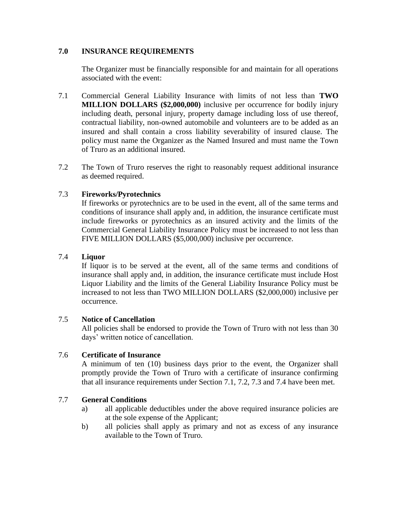## **7.0 INSURANCE REQUIREMENTS**

The Organizer must be financially responsible for and maintain for all operations associated with the event:

- 7.1 Commercial General Liability Insurance with limits of not less than **TWO MILLION DOLLARS (\$2,000,000)** inclusive per occurrence for bodily injury including death, personal injury, property damage including loss of use thereof, contractual liability, non-owned automobile and volunteers are to be added as an insured and shall contain a cross liability severability of insured clause. The policy must name the Organizer as the Named Insured and must name the Town of Truro as an additional insured.
- 7.2 The Town of Truro reserves the right to reasonably request additional insurance as deemed required.

## 7.3 **Fireworks/Pyrotechnics**

If fireworks or pyrotechnics are to be used in the event, all of the same terms and conditions of insurance shall apply and, in addition, the insurance certificate must include fireworks or pyrotechnics as an insured activity and the limits of the Commercial General Liability Insurance Policy must be increased to not less than FIVE MILLION DOLLARS (\$5,000,000) inclusive per occurrence.

## 7.4 **Liquor**

If liquor is to be served at the event, all of the same terms and conditions of insurance shall apply and, in addition, the insurance certificate must include Host Liquor Liability and the limits of the General Liability Insurance Policy must be increased to not less than TWO MILLION DOLLARS (\$2,000,000) inclusive per occurrence.

## 7.5 **Notice of Cancellation**

All policies shall be endorsed to provide the Town of Truro with not less than 30 days' written notice of cancellation.

## 7.6 **Certificate of Insurance**

A minimum of ten (10) business days prior to the event, the Organizer shall promptly provide the Town of Truro with a certificate of insurance confirming that all insurance requirements under Section 7.1, 7.2, 7.3 and 7.4 have been met.

## 7.7 **General Conditions**

- a) all applicable deductibles under the above required insurance policies are at the sole expense of the Applicant;
- b) all policies shall apply as primary and not as excess of any insurance available to the Town of Truro.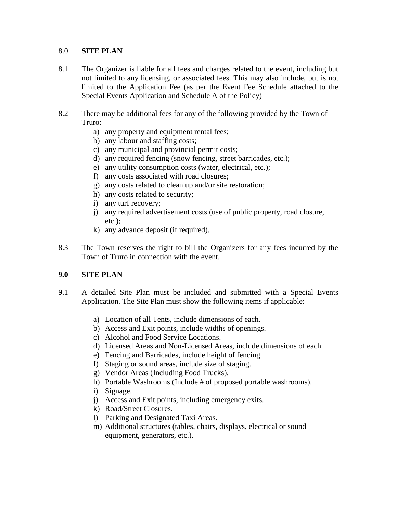## 8.0 **SITE PLAN**

- 8.1 The Organizer is liable for all fees and charges related to the event, including but not limited to any licensing, or associated fees. This may also include, but is not limited to the Application Fee (as per the Event Fee Schedule attached to the Special Events Application and Schedule A of the Policy)
- 8.2 There may be additional fees for any of the following provided by the Town of Truro:
	- a) any property and equipment rental fees;
	- b) any labour and staffing costs;
	- c) any municipal and provincial permit costs;
	- d) any required fencing (snow fencing, street barricades, etc.);
	- e) any utility consumption costs (water, electrical, etc.);
	- f) any costs associated with road closures;
	- g) any costs related to clean up and/or site restoration;
	- h) any costs related to security;
	- i) any turf recovery;
	- j) any required advertisement costs (use of public property, road closure, etc.);
	- k) any advance deposit (if required).
- 8.3 The Town reserves the right to bill the Organizers for any fees incurred by the Town of Truro in connection with the event.

# **9.0 SITE PLAN**

- 9.1 A detailed Site Plan must be included and submitted with a Special Events Application. The Site Plan must show the following items if applicable:
	- a) Location of all Tents, include dimensions of each.
	- b) Access and Exit points, include widths of openings.
	- c) Alcohol and Food Service Locations.
	- d) Licensed Areas and Non-Licensed Areas, include dimensions of each.
	- e) Fencing and Barricades, include height of fencing.
	- f) Staging or sound areas, include size of staging.
	- g) Vendor Areas (Including Food Trucks).
	- h) Portable Washrooms (Include # of proposed portable washrooms).
	- i) Signage.
	- j) Access and Exit points, including emergency exits.
	- k) Road/Street Closures.
	- l) Parking and Designated Taxi Areas.
	- m) Additional structures (tables, chairs, displays, electrical or sound equipment, generators, etc.).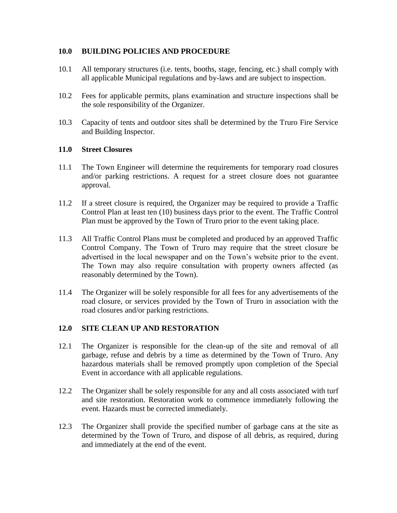## **10.0 BUILDING POLICIES AND PROCEDURE**

- 10.1 All temporary structures (i.e. tents, booths, stage, fencing, etc.) shall comply with all applicable Municipal regulations and by-laws and are subject to inspection.
- 10.2 Fees for applicable permits, plans examination and structure inspections shall be the sole responsibility of the Organizer.
- 10.3 Capacity of tents and outdoor sites shall be determined by the Truro Fire Service and Building Inspector.

## **11.0 Street Closures**

- 11.1 The Town Engineer will determine the requirements for temporary road closures and/or parking restrictions. A request for a street closure does not guarantee approval.
- 11.2 If a street closure is required, the Organizer may be required to provide a Traffic Control Plan at least ten (10) business days prior to the event. The Traffic Control Plan must be approved by the Town of Truro prior to the event taking place.
- 11.3 All Traffic Control Plans must be completed and produced by an approved Traffic Control Company. The Town of Truro may require that the street closure be advertised in the local newspaper and on the Town's website prior to the event. The Town may also require consultation with property owners affected (as reasonably determined by the Town).
- 11.4 The Organizer will be solely responsible for all fees for any advertisements of the road closure, or services provided by the Town of Truro in association with the road closures and/or parking restrictions.

# **12.0 SITE CLEAN UP AND RESTORATION**

- 12.1 The Organizer is responsible for the clean-up of the site and removal of all garbage, refuse and debris by a time as determined by the Town of Truro. Any hazardous materials shall be removed promptly upon completion of the Special Event in accordance with all applicable regulations.
- 12.2 The Organizer shall be solely responsible for any and all costs associated with turf and site restoration. Restoration work to commence immediately following the event. Hazards must be corrected immediately.
- 12.3 The Organizer shall provide the specified number of garbage cans at the site as determined by the Town of Truro, and dispose of all debris, as required, during and immediately at the end of the event.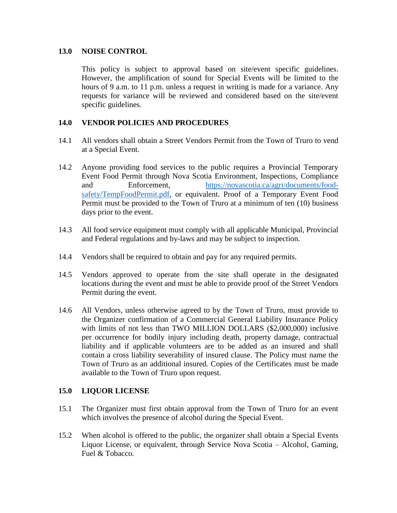## **13.0 NOISE CONTROL**

This policy is subject to approval based on site/event specific guidelines. However, the amplification of sound for Special Events will be limited to the hours of 9 a.m. to 11 p.m. unless a request in writing is made for a variance. Any requests for variance will be reviewed and considered based on the site/event specific guidelines.

## **14.0 VENDOR POLICIES AND PROCEDURES**

- 14.1 All vendors shall obtain a Street Vendors Permit from the Town of Truro to vend at a Special Event.
- 14.2 Anyone providing food services to the public requires a Provincial Temporary Event Food Permit through Nova Scotia Environment, Inspections, Compliance and Enforcement, [https://novascotia.ca/agri/documents/food](https://novascotia.ca/agri/documents/food-safety/TempFoodPermit.pdf)[safety/TempFoodPermit.pdf,](https://novascotia.ca/agri/documents/food-safety/TempFoodPermit.pdf) or equivalent. Proof of a Temporary Event Food Permit must be provided to the Town of Truro at a minimum of ten (10) business days prior to the event.
- 14.3 All food service equipment must comply with all applicable Municipal, Provincial and Federal regulations and by-laws and may be subject to inspection.
- 14.4 Vendors shall be required to obtain and pay for any required permits.
- 14.5 Vendors approved to operate from the site shall operate in the designated locations during the event and must be able to provide proof of the Street Vendors Permit during the event.
- 14.6 All Vendors, unless otherwise agreed to by the Town of Truro, must provide to the Organizer confirmation of a Commercial General Liability Insurance Policy with limits of not less than TWO MILLION DOLLARS (\$2,000,000) inclusive per occurrence for bodily injury including death, property damage, contractual liability and if applicable volunteers are to be added as an insured and shall contain a cross liability severability of insured clause. The Policy must name the Town of Truro as an additional insured. Copies of the Certificates must be made available to the Town of Truro upon request.

## **15.0 LIQUOR LICENSE**

- 15.1 The Organizer must first obtain approval from the Town of Truro for an event which involves the presence of alcohol during the Special Event.
- 15.2 When alcohol is offered to the public, the organizer shall obtain a Special Events Liquor License, or equivalent, through Service Nova Scotia – Alcohol, Gaming, Fuel & Tobacco.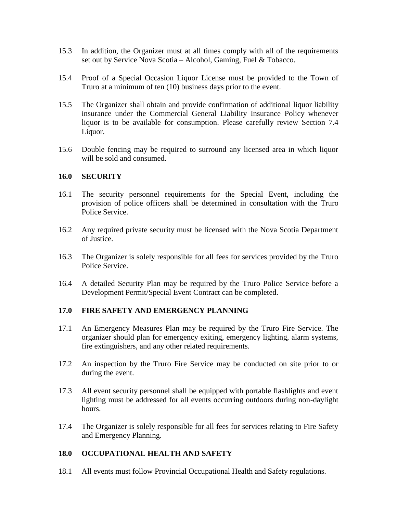- 15.3 In addition, the Organizer must at all times comply with all of the requirements set out by Service Nova Scotia – Alcohol, Gaming, Fuel & Tobacco.
- 15.4 Proof of a Special Occasion Liquor License must be provided to the Town of Truro at a minimum of ten (10) business days prior to the event.
- 15.5 The Organizer shall obtain and provide confirmation of additional liquor liability insurance under the Commercial General Liability Insurance Policy whenever liquor is to be available for consumption. Please carefully review Section 7.4 Liquor.
- 15.6 Double fencing may be required to surround any licensed area in which liquor will be sold and consumed.

## **16.0 SECURITY**

- 16.1 The security personnel requirements for the Special Event, including the provision of police officers shall be determined in consultation with the Truro Police Service.
- 16.2 Any required private security must be licensed with the Nova Scotia Department of Justice.
- 16.3 The Organizer is solely responsible for all fees for services provided by the Truro Police Service.
- 16.4 A detailed Security Plan may be required by the Truro Police Service before a Development Permit/Special Event Contract can be completed.

## **17.0 FIRE SAFETY AND EMERGENCY PLANNING**

- 17.1 An Emergency Measures Plan may be required by the Truro Fire Service. The organizer should plan for emergency exiting, emergency lighting, alarm systems, fire extinguishers, and any other related requirements.
- 17.2 An inspection by the Truro Fire Service may be conducted on site prior to or during the event.
- 17.3 All event security personnel shall be equipped with portable flashlights and event lighting must be addressed for all events occurring outdoors during non-daylight hours.
- 17.4 The Organizer is solely responsible for all fees for services relating to Fire Safety and Emergency Planning.

## **18.0 OCCUPATIONAL HEALTH AND SAFETY**

18.1 All events must follow Provincial Occupational Health and Safety regulations.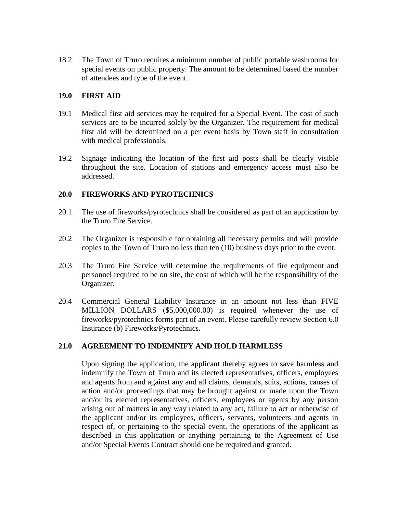18.2 The Town of Truro requires a minimum number of public portable washrooms for special events on public property. The amount to be determined based the number of attendees and type of the event.

## **19.0 FIRST AID**

- 19.1 Medical first aid services may be required for a Special Event. The cost of such services are to be incurred solely by the Organizer. The requirement for medical first aid will be determined on a per event basis by Town staff in consultation with medical professionals.
- 19.2 Signage indicating the location of the first aid posts shall be clearly visible throughout the site. Location of stations and emergency access must also be addressed.

# **20.0 FIREWORKS AND PYROTECHNICS**

- 20.1 The use of fireworks/pyrotechnics shall be considered as part of an application by the Truro Fire Service.
- 20.2 The Organizer is responsible for obtaining all necessary permits and will provide copies to the Town of Truro no less than ten (10) business days prior to the event.
- 20.3 The Truro Fire Service will determine the requirements of fire equipment and personnel required to be on site, the cost of which will be the responsibility of the Organizer.
- 20.4 Commercial General Liability Insurance in an amount not less than FIVE MILLION DOLLARS (\$5,000,000.00) is required whenever the use of fireworks/pyrotechnics forms part of an event. Please carefully review Section 6.0 Insurance (b) Fireworks/Pyrotechnics.

## **21.0 AGREEMENT TO INDEMNIFY AND HOLD HARMLESS**

Upon signing the application, the applicant thereby agrees to save harmless and indemnify the Town of Truro and its elected representatives, officers, employees and agents from and against any and all claims, demands, suits, actions, causes of action and/or proceedings that may be brought against or made upon the Town and/or its elected representatives, officers, employees or agents by any person arising out of matters in any way related to any act, failure to act or otherwise of the applicant and/or its employees, officers, servants, volunteers and agents in respect of, or pertaining to the special event, the operations of the applicant as described in this application or anything pertaining to the Agreement of Use and/or Special Events Contract should one be required and granted.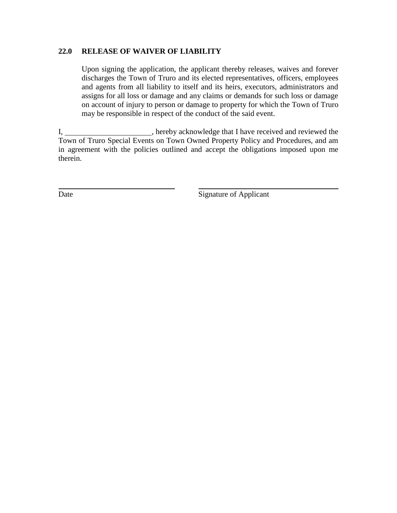## **22.0 RELEASE OF WAIVER OF LIABILITY**

Upon signing the application, the applicant thereby releases, waives and forever discharges the Town of Truro and its elected representatives, officers, employees and agents from all liability to itself and its heirs, executors, administrators and assigns for all loss or damage and any claims or demands for such loss or damage on account of injury to person or damage to property for which the Town of Truro may be responsible in respect of the conduct of the said event.

I, hereby acknowledge that I have received and reviewed the Town of Truro Special Events on Town Owned Property Policy and Procedures, and am in agreement with the policies outlined and accept the obligations imposed upon me therein.

Date Signature of Applicant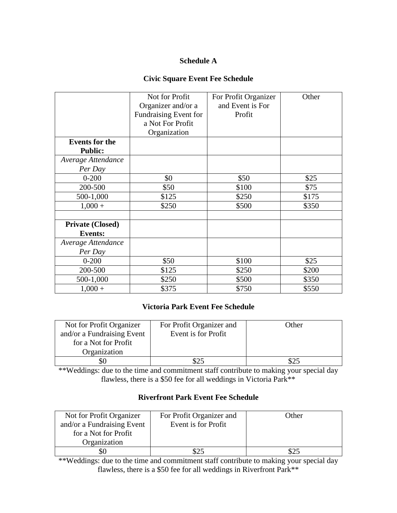# **Schedule A**

## **Civic Square Event Fee Schedule**

|                         | Not for Profit        | For Profit Organizer | Other |
|-------------------------|-----------------------|----------------------|-------|
|                         | Organizer and/or a    | and Event is For     |       |
|                         | Fundraising Event for | Profit               |       |
|                         | a Not For Profit      |                      |       |
|                         | Organization          |                      |       |
| <b>Events for the</b>   |                       |                      |       |
| <b>Public:</b>          |                       |                      |       |
| Average Attendance      |                       |                      |       |
| Per Day                 |                       |                      |       |
| $0 - 200$               | \$0                   | \$50                 | \$25  |
| 200-500                 | \$50                  | \$100                | \$75  |
| 500-1,000               | \$125                 | \$250                | \$175 |
| $1,000 +$               | \$250                 | \$500                | \$350 |
|                         |                       |                      |       |
| <b>Private (Closed)</b> |                       |                      |       |
| <b>Events:</b>          |                       |                      |       |
| Average Attendance      |                       |                      |       |
| Per Day                 |                       |                      |       |
| $0 - 200$               | \$50                  | \$100                | \$25  |
| 200-500                 | \$125                 | \$250                | \$200 |
| 500-1,000               | \$250                 | \$500                | \$350 |
| $1,000 +$               | \$375                 | \$750                | \$550 |

# **Victoria Park Event Fee Schedule**

| Not for Profit Organizer<br>and/or a Fundraising Event | For Profit Organizer and<br>Event is for Profit | Other |
|--------------------------------------------------------|-------------------------------------------------|-------|
| for a Not for Profit                                   |                                                 |       |
| Organization                                           |                                                 |       |
| УU                                                     |                                                 |       |

\*\*Weddings: due to the time and commitment staff contribute to making your special day flawless, there is a \$50 fee for all weddings in Victoria Park\*\*

# **Riverfront Park Event Fee Schedule**

| Not for Profit Organizer<br>and/or a Fundraising Event<br>for a Not for Profit | For Profit Organizer and<br>Event is for Profit | Other |
|--------------------------------------------------------------------------------|-------------------------------------------------|-------|
| Organization                                                                   |                                                 |       |
|                                                                                |                                                 |       |

\*\*Weddings: due to the time and commitment staff contribute to making your special day flawless, there is a \$50 fee for all weddings in Riverfront Park\*\*